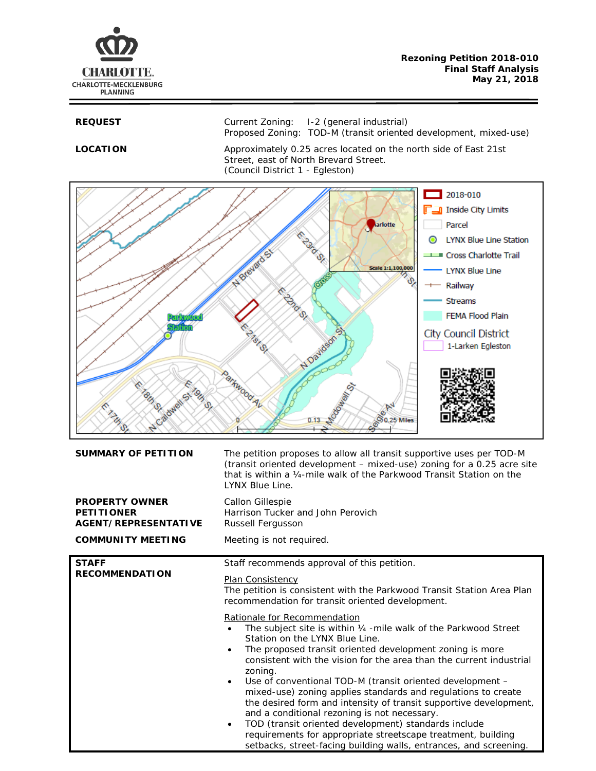

**REQUEST** Current Zoning: I-2 (general industrial) Proposed Zoning: TOD-M (transit oriented development, mixed-use)

LOCATION Approximately 0.25 acres located on the north side of East 21st Street, east of North Brevard Street. (Council District 1 - Egleston)



| <b>SUMMARY OF PETITION</b>                                                                            | The petition proposes to allow all transit supportive uses per TOD-M<br>(transit oriented development - mixed-use) zoning for a 0.25 acre site<br>that is within a 1/4-mile walk of the Parkwood Transit Station on the<br>LYNX Blue Line.                                                                                                                                                                                                                                                                                                                                                                                                                                                                                                                  |
|-------------------------------------------------------------------------------------------------------|-------------------------------------------------------------------------------------------------------------------------------------------------------------------------------------------------------------------------------------------------------------------------------------------------------------------------------------------------------------------------------------------------------------------------------------------------------------------------------------------------------------------------------------------------------------------------------------------------------------------------------------------------------------------------------------------------------------------------------------------------------------|
| <b>PROPERTY OWNER</b><br><b>PETITIONER</b><br><b>AGENT/REPRESENTATIVE</b><br><b>COMMUNITY MEETING</b> | Callon Gillespie<br>Harrison Tucker and John Perovich<br>Russell Fergusson<br>Meeting is not required.                                                                                                                                                                                                                                                                                                                                                                                                                                                                                                                                                                                                                                                      |
|                                                                                                       |                                                                                                                                                                                                                                                                                                                                                                                                                                                                                                                                                                                                                                                                                                                                                             |
| <b>STAFF</b><br><b>RECOMMENDATION</b>                                                                 | Staff recommends approval of this petition.<br><b>Plan Consistency</b><br>The petition is consistent with the Parkwood Transit Station Area Plan<br>recommendation for transit oriented development.                                                                                                                                                                                                                                                                                                                                                                                                                                                                                                                                                        |
|                                                                                                       | Rationale for Recommendation<br>The subject site is within 1/4 - mile walk of the Parkwood Street<br>Station on the LYNX Blue Line.<br>The proposed transit oriented development zoning is more<br>consistent with the vision for the area than the current industrial<br>zoning.<br>Use of conventional TOD-M (transit oriented development -<br>$\bullet$<br>mixed-use) zoning applies standards and regulations to create<br>the desired form and intensity of transit supportive development,<br>and a conditional rezoning is not necessary.<br>TOD (transit oriented development) standards include<br>$\bullet$<br>requirements for appropriate streetscape treatment, building<br>setbacks, street-facing building walls, entrances, and screening. |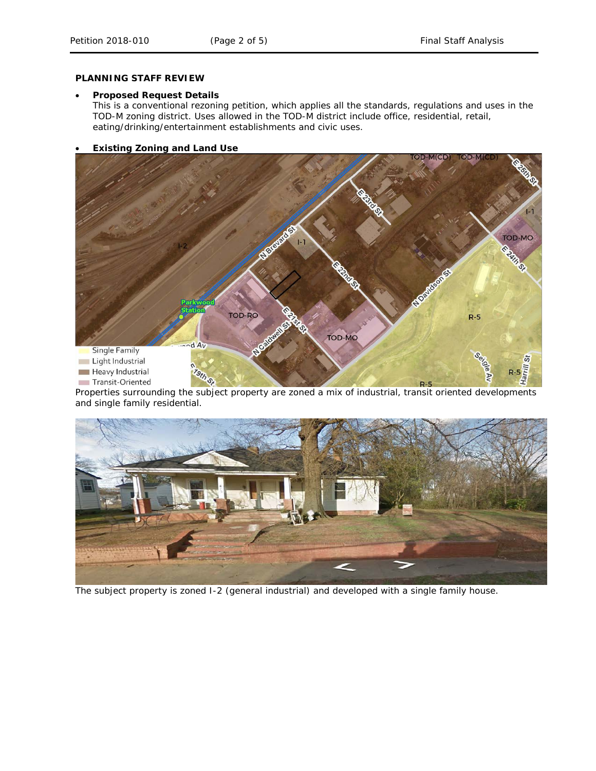### **PLANNING STAFF REVIEW**

## • **Proposed Request Details**

This is a conventional rezoning petition, which applies all the standards, regulations and uses in the TOD-M zoning district. Uses allowed in the TOD-M district include office, residential, retail, eating/drinking/entertainment establishments and civic uses.

# • **Existing Zoning and Land Use**



Properties surrounding the subject property are zoned a mix of industrial, transit oriented developments and single family residential.



The subject property is zoned I-2 (general industrial) and developed with a single family house.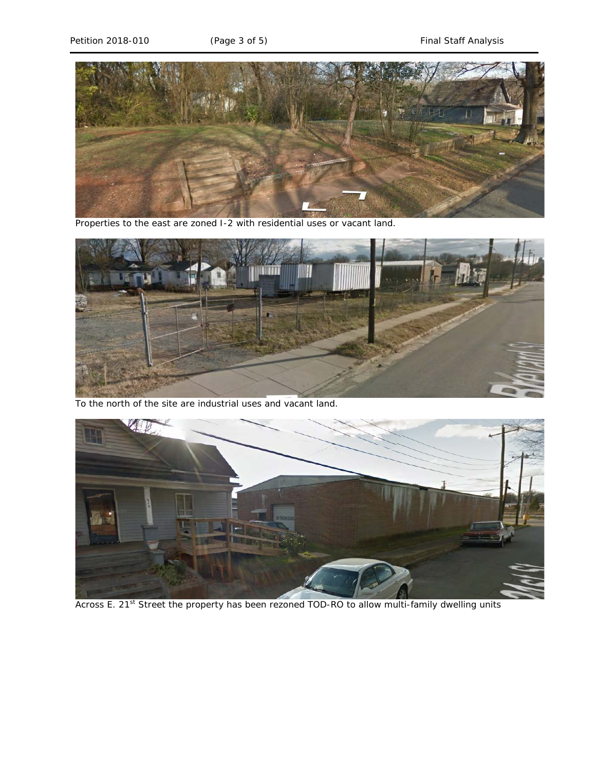

Properties to the east are zoned I-2 with residential uses or vacant land.



To the north of the site are industrial uses and vacant land.



Across E. 21<sup>st</sup> Street the property has been rezoned TOD-RO to allow multi-family dwelling units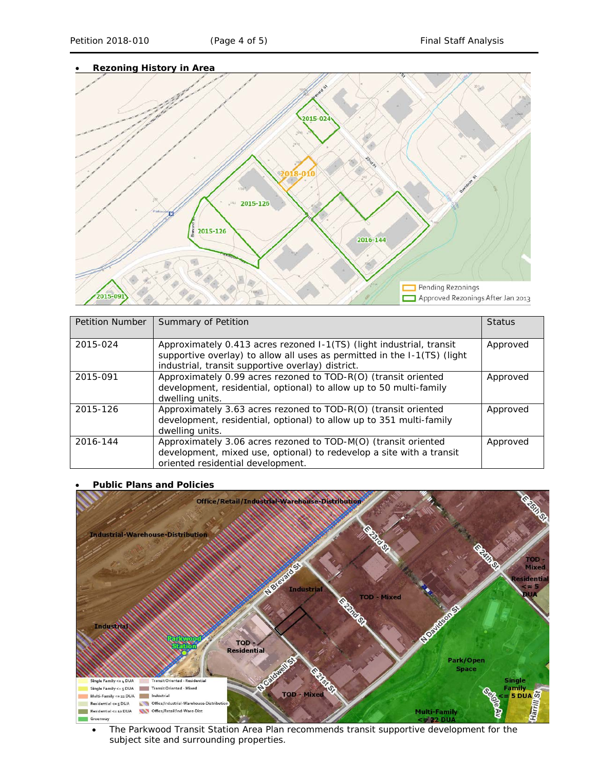

| <b>Petition Number</b> | Summary of Petition                                                                                                                                                                                   | <b>Status</b> |
|------------------------|-------------------------------------------------------------------------------------------------------------------------------------------------------------------------------------------------------|---------------|
| 2015-024               | Approximately 0.413 acres rezoned I-1(TS) (light industrial, transit<br>supportive overlay) to allow all uses as permitted in the I-1(TS) (light<br>industrial, transit supportive overlay) district. | Approved      |
| 2015-091               | Approximately 0.99 acres rezoned to TOD-R(O) (transit oriented<br>development, residential, optional) to allow up to 50 multi-family<br>dwelling units.                                               | Approved      |
| 2015-126               | Approximately 3.63 acres rezoned to TOD-R(O) (transit oriented<br>development, residential, optional) to allow up to 351 multi-family<br>dwelling units.                                              | Approved      |
| 2016-144               | Approximately 3.06 acres rezoned to TOD-M(O) (transit oriented<br>development, mixed use, optional) to redevelop a site with a transit<br>oriented residential development.                           | Approved      |

# • **Public Plans and Policies**



• The *Parkwood Transit Station Area Plan* recommends transit supportive development for the subject site and surrounding properties.